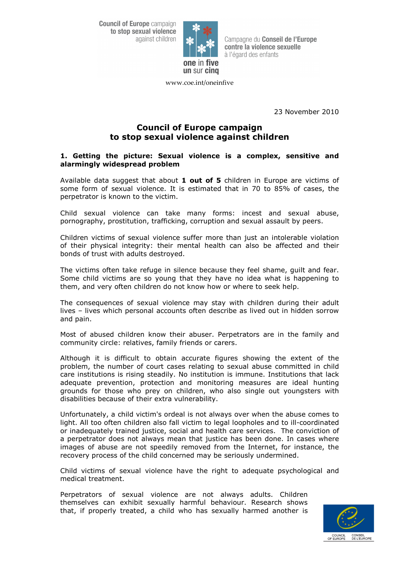**Council of Europe campaign** to stop sexual violence against children



Campagne du Conseil de l'Europe contre la violence sexuelle à l'égard des enfants

www.coe.int/oneinfive

23 November 2010

# **Council of Europe campaign to stop sexual violence against children**

### **1. Getting the picture: Sexual violence is a complex, sensitive and alarmingly widespread problem**

Available data suggest that about **1 out of 5** children in Europe are victims of some form of sexual violence. It is estimated that in 70 to 85% of cases, the perpetrator is known to the victim.

Child sexual violence can take many forms: incest and sexual abuse, pornography, prostitution, trafficking, corruption and sexual assault by peers.

Children victims of sexual violence suffer more than just an intolerable violation of their physical integrity: their mental health can also be affected and their bonds of trust with adults destroyed.

The victims often take refuge in silence because they feel shame, guilt and fear. Some child victims are so young that they have no idea what is happening to them, and very often children do not know how or where to seek help.

The consequences of sexual violence may stay with children during their adult lives – lives which personal accounts often describe as lived out in hidden sorrow and pain.

Most of abused children know their abuser. Perpetrators are in the family and community circle: relatives, family friends or carers.

Although it is difficult to obtain accurate figures showing the extent of the problem, the number of court cases relating to sexual abuse committed in child care institutions is rising steadily. No institution is immune. Institutions that lack adequate prevention, protection and monitoring measures are ideal hunting grounds for those who prey on children, who also single out youngsters with disabilities because of their extra vulnerability.

Unfortunately, a child victim's ordeal is not always over when the abuse comes to light. All too often children also fall victim to legal loopholes and to ill-coordinated or inadequately trained justice, social and health care services. The conviction of a perpetrator does not always mean that justice has been done. In cases where images of abuse are not speedily removed from the Internet, for instance, the recovery process of the child concerned may be seriously undermined.

Child victims of sexual violence have the right to adequate psychological and medical treatment.

Perpetrators of sexual violence are not always adults. Children themselves can exhibit sexually harmful behaviour. Research shows that, if properly treated, a child who has sexually harmed another is

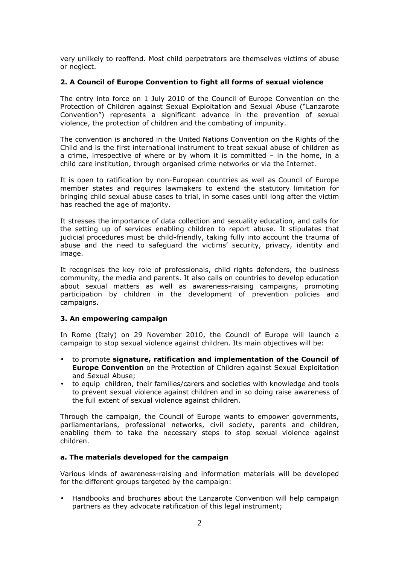very unlikely to reoffend. Most child perpetrators are themselves victims of abuse or neglect.

#### **2. A Council of Europe Convention to fight all forms of sexual violence**

The entry into force on 1 July 2010 of the Council of Europe Convention on the Protection of Children against Sexual Exploitation and Sexual Abuse ("Lanzarote Convention") represents a significant advance in the prevention of sexual violence, the protection of children and the combating of impunity.

The convention is anchored in the United Nations Convention on the Rights of the Child and is the first international instrument to treat sexual abuse of children as a crime, irrespective of where or by whom it is committed – in the home, in a child care institution, through organised crime networks or via the Internet.

It is open to ratification by non-European countries as well as Council of Europe member states and requires lawmakers to extend the statutory limitation for bringing child sexual abuse cases to trial, in some cases until long after the victim has reached the age of majority.

It stresses the importance of data collection and sexuality education, and calls for the setting up of services enabling children to report abuse. It stipulates that judicial procedures must be child-friendly, taking fully into account the trauma of abuse and the need to safeguard the victims' security, privacy, identity and image.

It recognises the key role of professionals, child rights defenders, the business community, the media and parents. It also calls on countries to develop education about sexual matters as well as awareness-raising campaigns, promoting participation by children in the development of prevention policies and campaigns.

#### **3. An empowering campaign**

In Rome (Italy) on 29 November 2010, the Council of Europe will launch a campaign to stop sexual violence against children. Its main objectives will be:

- to promote **signature, ratification and implementation of the Council of Europe Convention** on the Protection of Children against Sexual Exploitation and Sexual Abuse;
- to equip children, their families/carers and societies with knowledge and tools to prevent sexual violence against children and in so doing raise awareness of the full extent of sexual violence against children.

Through the campaign, the Council of Europe wants to empower governments, parliamentarians, professional networks, civil society, parents and children, enabling them to take the necessary steps to stop sexual violence against children.

# **a. The materials developed for the campaign**

Various kinds of awareness-raising and information materials will be developed for the different groups targeted by the campaign:

• Handbooks and brochures about the Lanzarote Convention will help campaign partners as they advocate ratification of this legal instrument;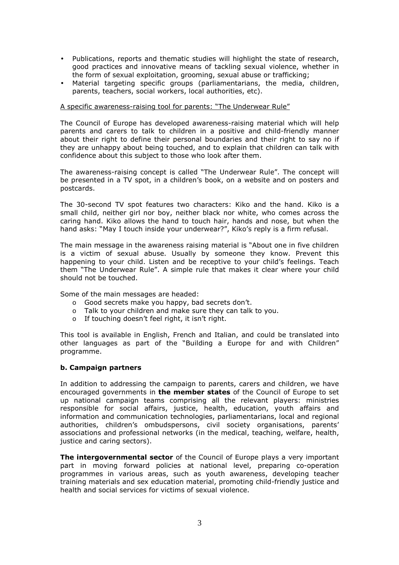- Publications, reports and thematic studies will highlight the state of research, good practices and innovative means of tackling sexual violence, whether in the form of sexual exploitation, grooming, sexual abuse or trafficking;
- Material targeting specific groups (parliamentarians, the media, children, parents, teachers, social workers, local authorities, etc).

# A specific awareness-raising tool for parents: "The Underwear Rule"

The Council of Europe has developed awareness-raising material which will help parents and carers to talk to children in a positive and child-friendly manner about their right to define their personal boundaries and their right to say no if they are unhappy about being touched, and to explain that children can talk with confidence about this subject to those who look after them.

The awareness-raising concept is called "The Underwear Rule". The concept will be presented in a TV spot, in a children's book, on a website and on posters and postcards.

The 30-second TV spot features two characters: Kiko and the hand. Kiko is a small child, neither girl nor boy, neither black nor white, who comes across the caring hand. Kiko allows the hand to touch hair, hands and nose, but when the hand asks: "May I touch inside your underwear?", Kiko's reply is a firm refusal.

The main message in the awareness raising material is "About one in five children is a victim of sexual abuse. Usually by someone they know. Prevent this happening to your child. Listen and be receptive to your child's feelings. Teach them "The Underwear Rule". A simple rule that makes it clear where your child should not be touched.

Some of the main messages are headed:

- o Good secrets make you happy, bad secrets don't.
- o Talk to your children and make sure they can talk to you.
- o If touching doesn't feel right, it isn't right.

This tool is available in English, French and Italian, and could be translated into other languages as part of the "Building a Europe for and with Children" programme.

# **b. Campaign partners**

In addition to addressing the campaign to parents, carers and children, we have encouraged governments in **the member states** of the Council of Europe to set up national campaign teams comprising all the relevant players: ministries responsible for social affairs, justice, health, education, youth affairs and information and communication technologies, parliamentarians, local and regional authorities, children's ombudspersons, civil society organisations, parents' associations and professional networks (in the medical, teaching, welfare, health, justice and caring sectors).

**The intergovernmental sector** of the Council of Europe plays a very important part in moving forward policies at national level, preparing co-operation programmes in various areas, such as youth awareness, developing teacher training materials and sex education material, promoting child-friendly justice and health and social services for victims of sexual violence.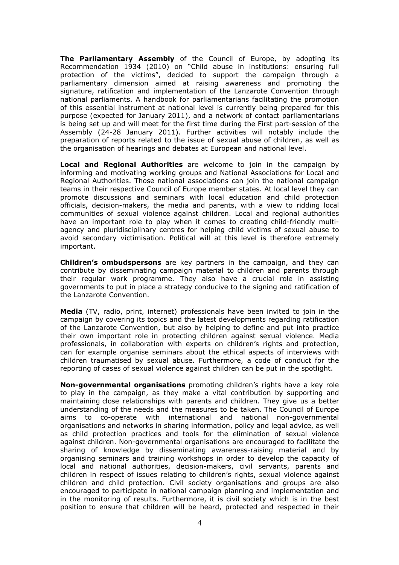**The Parliamentary Assembly** of the Council of Europe, by adopting its Recommendation 1934 (2010) on "Child abuse in institutions: ensuring full protection of the victims", decided to support the campaign through a parliamentary dimension aimed at raising awareness and promoting the signature, ratification and implementation of the Lanzarote Convention through national parliaments. A handbook for parliamentarians facilitating the promotion of this essential instrument at national level is currently being prepared for this purpose (expected for January 2011), and a network of contact parliamentarians is being set up and will meet for the first time during the First part-session of the Assembly (24-28 January 2011). Further activities will notably include the preparation of reports related to the issue of sexual abuse of children, as well as the organisation of hearings and debates at European and national level.

**Local and Regional Authorities** are welcome to join in the campaign by informing and motivating working groups and National Associations for Local and Regional Authorities. Those national associations can join the national campaign teams in their respective Council of Europe member states. At local level they can promote discussions and seminars with local education and child protection officials, decision-makers, the media and parents, with a view to ridding local communities of sexual violence against children. Local and regional authorities have an important role to play when it comes to creating child-friendly multiagency and pluridisciplinary centres for helping child victims of sexual abuse to avoid secondary victimisation. Political will at this level is therefore extremely important.

**Children's ombudspersons** are key partners in the campaign, and they can contribute by disseminating campaign material to children and parents through their regular work programme. They also have a crucial role in assisting governments to put in place a strategy conducive to the signing and ratification of the Lanzarote Convention.

**Media** (TV, radio, print, internet) professionals have been invited to join in the campaign by covering its topics and the latest developments regarding ratification of the Lanzarote Convention, but also by helping to define and put into practice their own important role in protecting children against sexual violence. Media professionals, in collaboration with experts on children's rights and protection, can for example organise seminars about the ethical aspects of interviews with children traumatised by sexual abuse. Furthermore, a code of conduct for the reporting of cases of sexual violence against children can be put in the spotlight.

**Non-governmental organisations** promoting children's rights have a key role to play in the campaign, as they make a vital contribution by supporting and maintaining close relationships with parents and children. They give us a better understanding of the needs and the measures to be taken. The Council of Europe aims to co-operate with international and national non-governmental organisations and networks in sharing information, policy and legal advice, as well as child protection practices and tools for the elimination of sexual violence against children. Non-governmental organisations are encouraged to facilitate the sharing of knowledge by disseminating awareness-raising material and by organising seminars and training workshops in order to develop the capacity of local and national authorities, decision-makers, civil servants, parents and children in respect of issues relating to children's rights, sexual violence against children and child protection. Civil society organisations and groups are also encouraged to participate in national campaign planning and implementation and in the monitoring of results. Furthermore, it is civil society which is in the best position to ensure that children will be heard, protected and respected in their